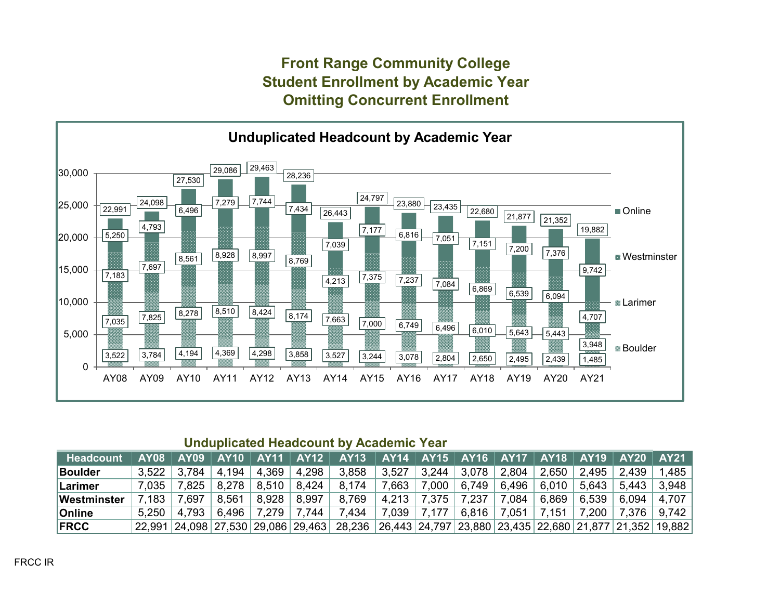### **Front Range Community College Student Enrollment by Academic Year Omitting Concurrent Enrollment**



#### **Unduplicated Headcount by Academic Year**

| <b>Headcount</b> |       |                 |                 |                                       | AY08   AY09   AY10   AY11   AY12   AY13   AY14   AY15   AY16   AY17   AY18   AY19   AY20   AY21   |                                                       |                               |  |                            |                                                 |       |
|------------------|-------|-----------------|-----------------|---------------------------------------|---------------------------------------------------------------------------------------------------|-------------------------------------------------------|-------------------------------|--|----------------------------|-------------------------------------------------|-------|
| <b>Boulder</b>   |       | $3.522$   3.784 |                 | $ $ 4,194 $ $ 4,369 $ $ 4,298 $ $     | 3,858                                                                                             | 3,527   3,244   3,078   2,804   2,650   2,495   2,439 |                               |  |                            |                                                 | 1.485 |
| Larimer          |       |                 |                 | 7,035   7,825   8,278   8,510   8,424 | 8,174                                                                                             | 7,663   7,000   6,749   6,496                         |                               |  |                            | $6.010$   5.643   5.443                         | 3.948 |
| Westminster      | 7.183 | 7.697           | $8,561$   8,928 |                                       | 8,997   8,769                                                                                     |                                                       | 4,213   7,375   7,237   7,084 |  | $+6,869$ $+6,539$ $+6,094$ |                                                 | 4.707 |
| <b>Online</b>    |       | $5.250$   4,793 |                 | 6,496   7,279   7,744   7,434         |                                                                                                   | $7,039$ 7,177                                         |                               |  |                            | $6,816$   7,051   7,151   7,200   7,376   9,742 |       |
| <b>IFRCC</b>     |       |                 |                 |                                       | 22,991 24,098 27,530 29,086 29,463 28,236 26,443 24,797 23,880 23,435 22,680 21,877 21,352 19,882 |                                                       |                               |  |                            |                                                 |       |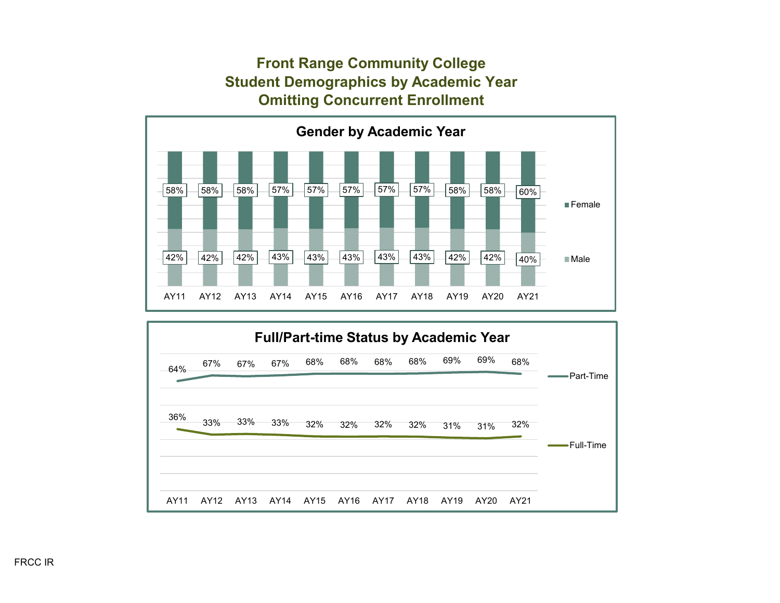# **Front Range Community College Student Demographics by Academic Year Omitting Concurrent Enrollment**



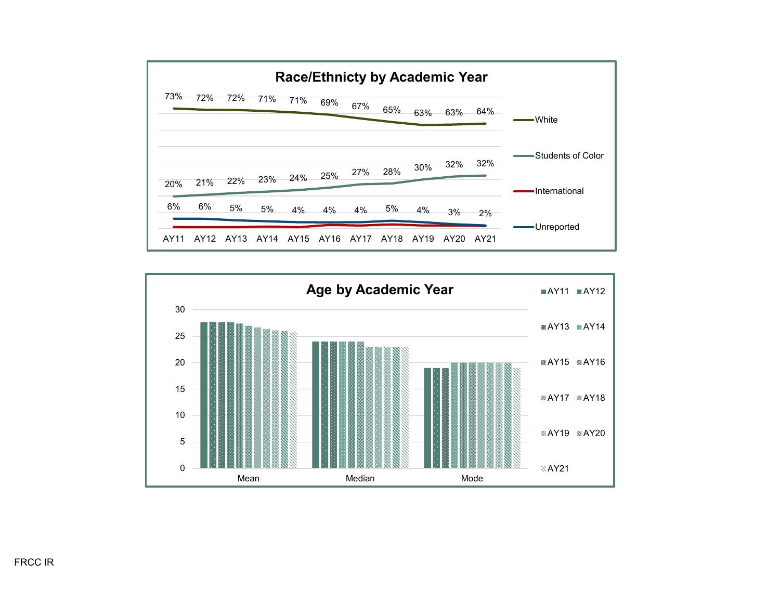

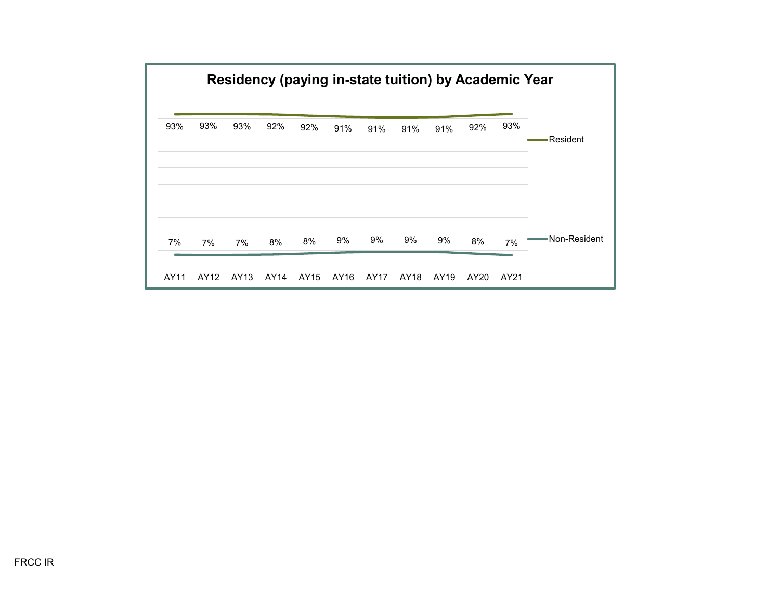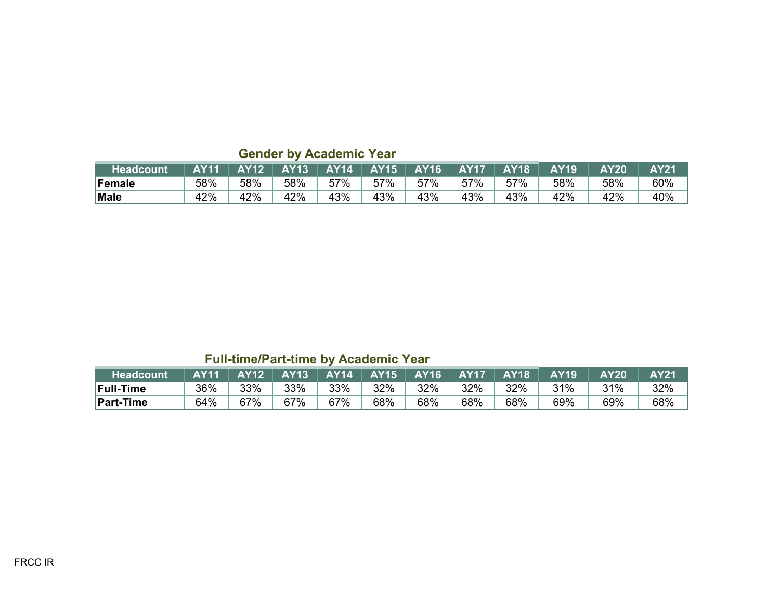| <b>Headcount</b> | <b>AY11</b> | AY12 | <b>AY13</b> 1 | <b>AY14</b> |     | $AY15$ $AY16$ | <b>AY17</b> | <b>AY18</b> | <b>AY19</b> | <b>AY20</b> | <b>AY21</b> |
|------------------|-------------|------|---------------|-------------|-----|---------------|-------------|-------------|-------------|-------------|-------------|
| Female           | 58%         | 58%  | 58%           | 57%         | 57% | 57%           | 57%         | 57%         | 58%         | 58%         | 60%         |
| <b>Male</b>      | 42%         | 42%  | 42%           | 43%         | 43% | 43%           | 43%         | 43%         | 42%         | 42%         | 40%         |

**Gender by Academic Year**

# **Full-time/Part-time by Academic Year**

| <b>Headcount</b> | <b>AY11</b> | <b>AY12</b> | <b>AY13</b> | <b>AY14</b> | <b>AY15</b> | <b>AY16</b> | <b>AY17</b> | $\overline{\mathsf{AY}}$ 18 $^{\mathsf{!}}$ | <b>AY19</b> | <b>AY20</b> | <b>AY21</b> |
|------------------|-------------|-------------|-------------|-------------|-------------|-------------|-------------|---------------------------------------------|-------------|-------------|-------------|
| <b>Full-Time</b> | 36%         | 33%         | 33%         | 33%         | 32%         | 32%         | 32%         | 32%                                         | 31%         | 31%         | 32%         |
| <b>Part-Time</b> | 64%         | 67%         | 67%         | 67%         | 68%         | 68%         | 68%         | 68%                                         | 69%         | 69%         | 68%         |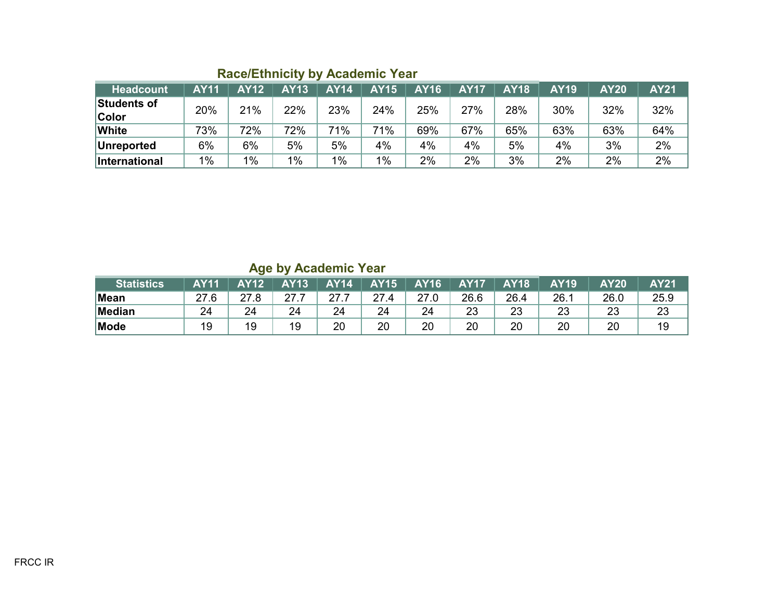| Headcount            | <b>AY11</b> | <b>AY12</b> | <b>AY13</b> | <b>AY14</b> | <b>AY15</b> | <b>AY16</b> | <b>AY17</b> | <b>AY18</b> | <b>AY19</b> | <b>AY20</b> | <b>AY21</b> |
|----------------------|-------------|-------------|-------------|-------------|-------------|-------------|-------------|-------------|-------------|-------------|-------------|
| Students of          | 20%         | 21%         | 22%         | 23%         | 24%         | 25%         | 27%         | 28%         | 30%         | 32%         | 32%         |
| <b>Color</b>         |             |             |             |             |             |             |             |             |             |             |             |
| <b>White</b>         | 73%         | 72%         | 72%         | 71%         | 71%         | 69%         | 67%         | 65%         | 63%         | 63%         | 64%         |
| Unreported           | 6%          | 6%          | 5%          | 5%          | 4%          | 4%          | 4%          | 5%          | 4%          | 3%          | 2%          |
| <b>International</b> | $1\%$       | $1\%$       | $1\%$       | $1\%$       | 1%          | 2%          | 2%          | 3%          | 2%          | 2%          | 2%          |

**Age by Academic Year**

| <b>Statistics</b> | <b>AY11</b> | $\sim$<br><b>AY12</b> | <b>AY13</b> | <b>AY14</b> | <b>AY15</b> | <b>AY16</b> | <b>AY17</b> | <b>AY18</b> | <b>AY19</b> | <b>AY20</b> | <b>AY21</b> |
|-------------------|-------------|-----------------------|-------------|-------------|-------------|-------------|-------------|-------------|-------------|-------------|-------------|
| <b>Mean</b>       | דר          | 27.8                  | 27.         |             | 27<br>4     | 27.0        | 26.6        | 26.4        | 26.         | 26.0        | 25.9        |
| Median            | 24          | 24                    | 24          | 24          | 24          | 24          | 23          | 23          | າາ<br>دے    | 23          | 23          |
| Mode              | 19          | 19                    | 19          | 20          | 20          | 20          | 20          | 20          | 20          | 20          | 19          |